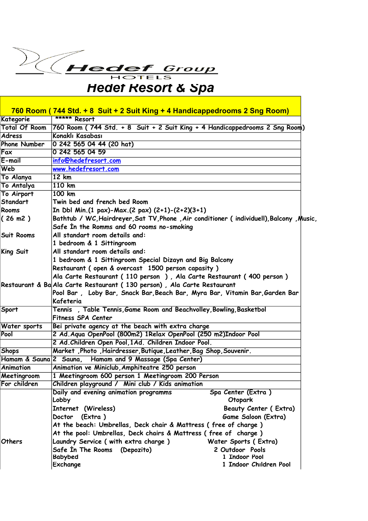## *Hedef Resort & Spa*

|                        | 760 Room (744 Std. + 8 Suit + 2 Suit King + 4 Handicappedrooms 2 Sng Room)              |                              |  |
|------------------------|-----------------------------------------------------------------------------------------|------------------------------|--|
| Kategorie              | ***** Resort                                                                            |                              |  |
| Total Of Room          | 760 Room (744 Std. + 8 Suit + 2 Suit King + 4 Handicappedrooms 2 Sng Room)              |                              |  |
| <b>Adress</b>          | Konaklı Kasabası                                                                        |                              |  |
| <b>Phone Number</b>    | 0 242 565 04 44 (20 hat)                                                                |                              |  |
| Fax                    | 0 242 565 04 59                                                                         |                              |  |
| $E$ -mail              | info@hedefresort.com                                                                    |                              |  |
| Web                    | www.hedefresort.com                                                                     |                              |  |
| To Alanya              | 12 km                                                                                   |                              |  |
| To Antalya             | 110 km                                                                                  |                              |  |
| To Airport             | 100 km                                                                                  |                              |  |
| Standart               | Twin bed and french bed Room                                                            |                              |  |
| Rooms                  | In Dbl Min.(1 pax)-Max.(2 pax) $(2+1)-(2+2)(3+1)$                                       |                              |  |
| (26 m2)                | Bathtub / WC, Hairdreyer, Sat TV, Phone, Air conditioner (individuell), Balcony, Music, |                              |  |
|                        | Safe In the Romms and 60 rooms no-smoking                                               |                              |  |
| Suit Rooms             | All standart room details and:                                                          |                              |  |
|                        | 1 bedroom & 1 Sittingroom                                                               |                              |  |
| King Suit              | All standart room details and:                                                          |                              |  |
|                        | 1 bedroom & 1 Sittingroom Special Dizayn and Big Balcony                                |                              |  |
|                        | Restaurant (open & overcast 1500 person capasity)                                       |                              |  |
|                        | Ala Carte Restaurant (110 person), Ala Carte Restaurant (400 person)                    |                              |  |
|                        | Restaurant & Ba Ala Carte Restaurant (130 person), Ala Carte Restaurant                 |                              |  |
|                        | Pool Bar, Loby Bar, Snack Bar, Beach Bar, Myra Bar, Vitamin Bar, Garden Bar             |                              |  |
|                        | Kafeteria                                                                               |                              |  |
| Sport                  | Tennis, Table Tennis, Game Room and Beachvolley, Bowling, Basketbol                     |                              |  |
|                        | Fitness SPA Center                                                                      |                              |  |
| Water sports           | Bei private agency at the beach with extra charge                                       |                              |  |
| Pool                   | 2 Ad. Aqua OpenPool (800m2) 1Relax OpenPool (250 m2)Indoor Pool                         |                              |  |
|                        | 2 Ad. Children Open Pool, 1Ad. Children Indoor Pool.                                    |                              |  |
| <b>Shops</b>           | Market, Photo, Hairdresser, Butique, Leather, Bag Shop, Souvenir.                       |                              |  |
| Hamam & Sauna 2 Sauna, | Hamam and 9 Massage (Spa Center)                                                        |                              |  |
| <b>Animation</b>       | Animation ve Miniclub, Amphiteatre 250 person                                           |                              |  |
| Meetingroom            | 1 Meetingroom 600 person 1 Meetingroom 200 Person                                       |                              |  |
| For children           | Children playground / Mini club / Kids animation                                        |                              |  |
|                        | Daily and evening animation programms                                                   | Spa Center (Extra)           |  |
|                        | Lobby                                                                                   | Otopark                      |  |
|                        | Internet (Wireless)                                                                     | <b>Beauty Center (Extra)</b> |  |
|                        | (Extra)<br>Doctor                                                                       | Game Saloon (Extra)          |  |
|                        | At the beach: Umbrellas, Deck chair & Mattress (free of charge)                         |                              |  |
|                        | At the pool: Umbrellas, Deck chairs & Mattress (free of charge)                         |                              |  |
| Others                 | Laundry Service (with extra charge)                                                     | Water Sports (Extra)         |  |
|                        | Safe In The Rooms (Depozito)                                                            | 2 Outdoor Pools              |  |
|                        | <b>Babybed</b>                                                                          | 1 Indoor Pool                |  |
|                        | Exchange                                                                                | 1 Indoor Children Pool       |  |